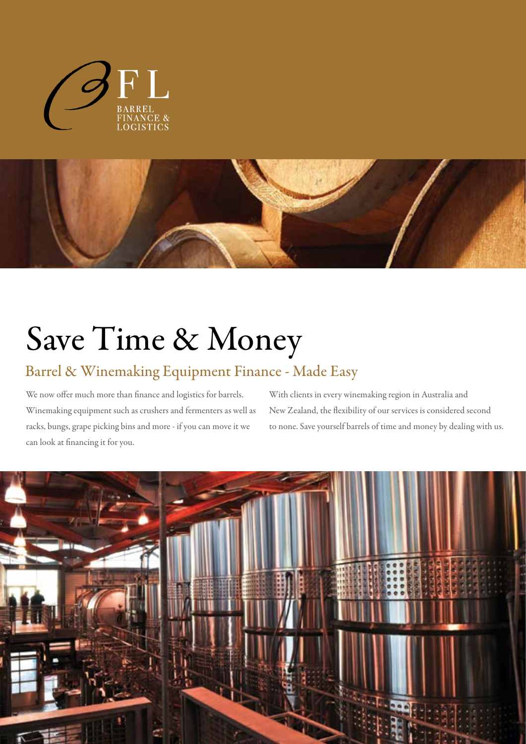



# Save Time & Money

### Barrel & Winemaking Equipment Finance - Made Easy

We now offer much more than finance and logistics for barrels. Winemaking equipment such as crushers and fermenters as well as racks, bungs, grape picking bins and more - if you can move it we can look at financing it for you.

With clients in every winemaking region in Australia and New Zealand, the flexibility of our services is considered second to none. Save yourself barrels of time and money by dealing with us.

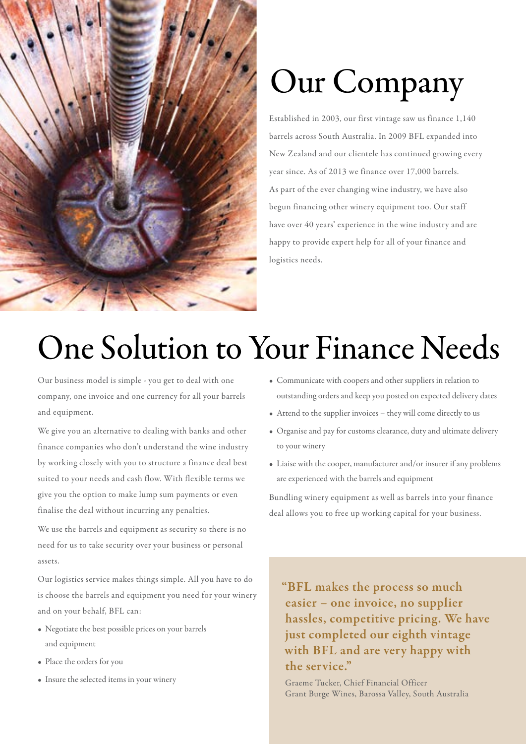

# Our Company

Established in 2003, our first vintage saw us finance 1,140 barrels across South Australia. In 2009 BFL expanded into New Zealand and our clientele has continued growing every year since. As of 2013 we finance over 17,000 barrels. As part of the ever changing wine industry, we have also begun financing other winery equipment too. Our staff have over 40 years' experience in the wine industry and are happy to provide expert help for all of your finance and logistics needs.

## One Solution to Your Finance Needs

Our business model is simple - you get to deal with one company, one invoice and one currency for all your barrels and equipment.

We give you an alternative to dealing with banks and other finance companies who don't understand the wine industry by working closely with you to structure a finance deal best suited to your needs and cash flow. With flexible terms we give you the option to make lump sum payments or even finalise the deal without incurring any penalties.

We use the barrels and equipment as security so there is no need for us to take security over your business or personal assets.

Our logistics service makes things simple. All you have to do is choose the barrels and equipment you need for your winery and on your behalf, BFL can:

- Negotiate the best possible prices on your barrels and equipment
- Place the orders for you
- Insure the selected items in your winery
- Communicate with coopers and other suppliers in relation to outstanding orders and keep you posted on expected delivery dates
- Attend to the supplier invoices they will come directly to us
- Organise and pay for customs clearance, duty and ultimate delivery to your winery
- Liaise with the cooper, manufacturer and/or insurer if any problems are experienced with the barrels and equipment

Bundling winery equipment as well as barrels into your finance deal allows you to free up working capital for your business.

"BFL makes the process so much easier – one invoice, no supplier hassles, competitive pricing. We have just completed our eighth vintage with BFL and are very happy with the service."

Graeme Tucker, Chief Financial Officer Grant Burge Wines, Barossa Valley, South Australia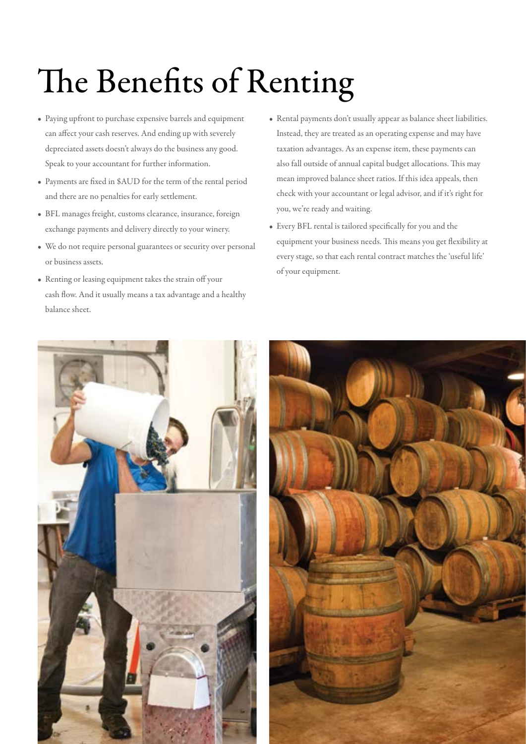# The Benefits of Renting

- Paying upfront to purchase expensive barrels and equipment can affect your cash reserves. And ending up with severely depreciated assets doesn't always do the business any good. Speak to your accountant for further information.
- Payments are fixed in \$AUD for the term of the rental period and there are no penalties for early settlement.
- BFL manages freight, customs clearance, insurance, foreign exchange payments and delivery directly to your winery.
- We do not require personal guarantees or security over personal or business assets.
- Renting or leasing equipment takes the strain off your cash flow. And it usually means a tax advantage and a healthy balance sheet.
- Rental payments don't usually appear as balance sheet liabilities. Instead, they are treated as an operating expense and may have taxation advantages. As an expense item, these payments can also fall outside of annual capital budget allocations. This may mean improved balance sheet ratios. If this idea appeals, then check with your accountant or legal advisor, and if it's right for you, we're ready and waiting.
- Every BFL rental is tailored specifically for you and the equipment your business needs. This means you get flexibility at every stage, so that each rental contract matches the 'useful life' of your equipment.